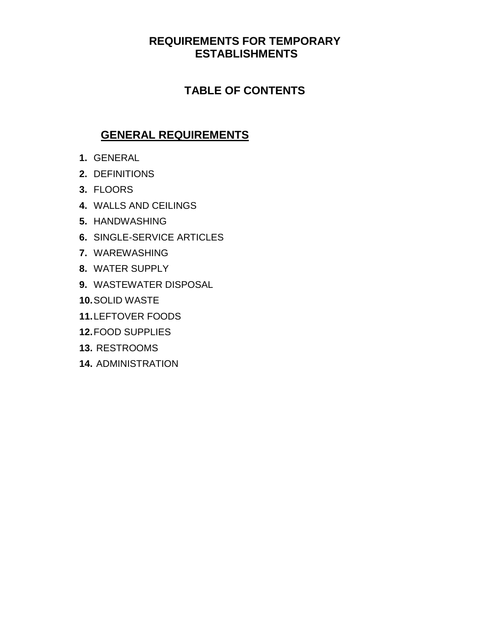# **REQUIREMENTS FOR TEMPORARY ESTABLISHMENTS**

# **TABLE OF CONTENTS**

# **GENERAL REQUIREMENTS**

- **1.** GENERAL
- **2.** DEFINITIONS
- **3.** FLOORS
- **4.** WALLS AND CEILINGS
- **5.** HANDWASHING
- **6.** SINGLE-SERVICE ARTICLES
- **7.** WAREWASHING
- **8.** WATER SUPPLY
- **9.** WASTEWATER DISPOSAL
- **10.**SOLID WASTE
- **11.**LEFTOVER FOODS
- **12.**FOOD SUPPLIES
- **13.** RESTROOMS
- **14.** ADMINISTRATION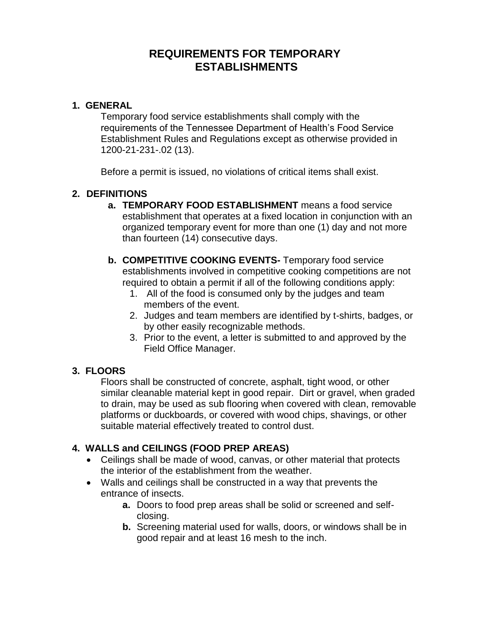# **REQUIREMENTS FOR TEMPORARY ESTABLISHMENTS**

# **1. GENERAL**

Temporary food service establishments shall comply with the requirements of the Tennessee Department of Health's Food Service Establishment Rules and Regulations except as otherwise provided in 1200-21-231-.02 (13).

Before a permit is issued, no violations of critical items shall exist.

### **2. DEFINITIONS**

- **a. TEMPORARY FOOD ESTABLISHMENT** means a food service establishment that operates at a fixed location in conjunction with an organized temporary event for more than one (1) day and not more than fourteen (14) consecutive days.
- **b. COMPETITIVE COOKING EVENTS-** Temporary food service establishments involved in competitive cooking competitions are not required to obtain a permit if all of the following conditions apply:
	- 1. All of the food is consumed only by the judges and team members of the event.
	- 2. Judges and team members are identified by t-shirts, badges, or by other easily recognizable methods.
	- 3. Prior to the event, a letter is submitted to and approved by the Field Office Manager.

# **3. FLOORS**

Floors shall be constructed of concrete, asphalt, tight wood, or other similar cleanable material kept in good repair. Dirt or gravel, when graded to drain, may be used as sub flooring when covered with clean, removable platforms or duckboards, or covered with wood chips, shavings, or other suitable material effectively treated to control dust.

# **4. WALLS and CEILINGS (FOOD PREP AREAS)**

- Ceilings shall be made of wood, canvas, or other material that protects the interior of the establishment from the weather.
- Walls and ceilings shall be constructed in a way that prevents the entrance of insects.
	- **a.** Doors to food prep areas shall be solid or screened and selfclosing.
	- **b.** Screening material used for walls, doors, or windows shall be in good repair and at least 16 mesh to the inch.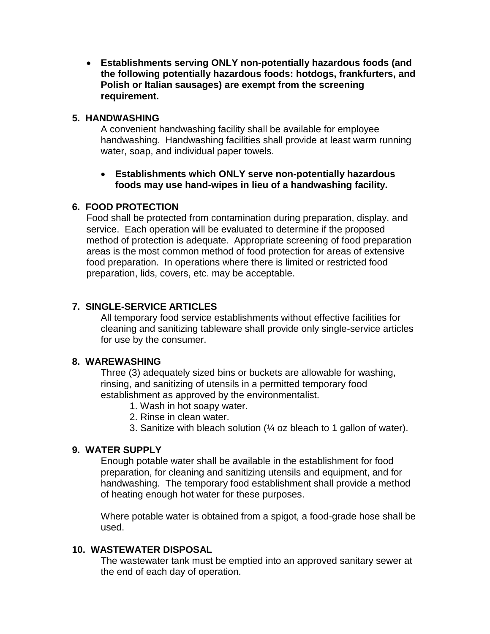**Establishments serving ONLY non-potentially hazardous foods (and the following potentially hazardous foods: hotdogs, frankfurters, and Polish or Italian sausages) are exempt from the screening requirement.**

#### **5. HANDWASHING**

A convenient handwashing facility shall be available for employee handwashing. Handwashing facilities shall provide at least warm running water, soap, and individual paper towels.

#### **Establishments which ONLY serve non-potentially hazardous foods may use hand-wipes in lieu of a handwashing facility.**

# **6. FOOD PROTECTION**

Food shall be protected from contamination during preparation, display, and service. Each operation will be evaluated to determine if the proposed method of protection is adequate. Appropriate screening of food preparation areas is the most common method of food protection for areas of extensive food preparation. In operations where there is limited or restricted food preparation, lids, covers, etc. may be acceptable.

### **7. SINGLE-SERVICE ARTICLES**

All temporary food service establishments without effective facilities for cleaning and sanitizing tableware shall provide only single-service articles for use by the consumer.

### **8. WAREWASHING**

Three (3) adequately sized bins or buckets are allowable for washing, rinsing, and sanitizing of utensils in a permitted temporary food establishment as approved by the environmentalist.

- 1. Wash in hot soapy water.
- 2. Rinse in clean water.
- 3. Sanitize with bleach solution (¼ oz bleach to 1 gallon of water).

# **9. WATER SUPPLY**

Enough potable water shall be available in the establishment for food preparation, for cleaning and sanitizing utensils and equipment, and for handwashing. The temporary food establishment shall provide a method of heating enough hot water for these purposes.

Where potable water is obtained from a spigot, a food-grade hose shall be used.

# **10. WASTEWATER DISPOSAL**

The wastewater tank must be emptied into an approved sanitary sewer at the end of each day of operation.